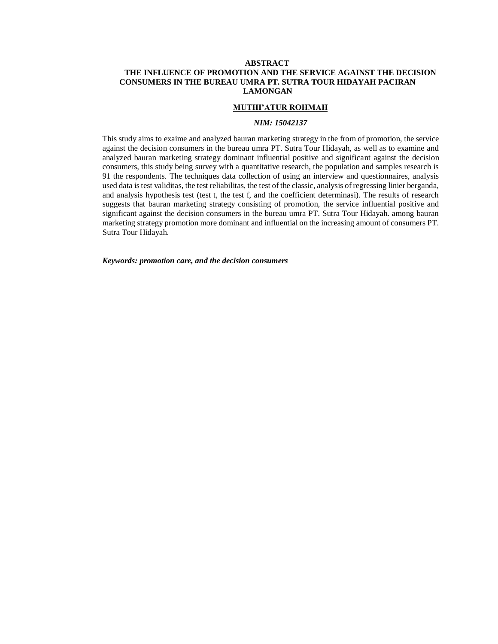# **ABSTRACT THE INFLUENCE OF PROMOTION AND THE SERVICE AGAINST THE DECISION CONSUMERS IN THE BUREAU UMRA PT. SUTRA TOUR HIDAYAH PACIRAN LAMONGAN**

## **MUTHI'ATUR ROHMAH**

### *NIM: 15042137*

This study aims to exaime and analyzed bauran marketing strategy in the from of promotion, the service against the decision consumers in the bureau umra PT. Sutra Tour Hidayah, as well as to examine and analyzed bauran marketing strategy dominant influential positive and significant against the decision consumers, this study being survey with a quantitative research, the population and samples research is 91 the respondents. The techniques data collection of using an interview and questionnaires, analysis used data is test validitas, the test reliabilitas, the test of the classic, analysis of regressing linier berganda, and analysis hypothesis test (test t, the test f, and the coefficient determinasi). The results of research suggests that bauran marketing strategy consisting of promotion, the service influential positive and significant against the decision consumers in the bureau umra PT. Sutra Tour Hidayah. among bauran marketing strategy promotion more dominant and influential on the increasing amount of consumers PT. Sutra Tour Hidayah.

*Keywords: promotion care, and the decision consumers*